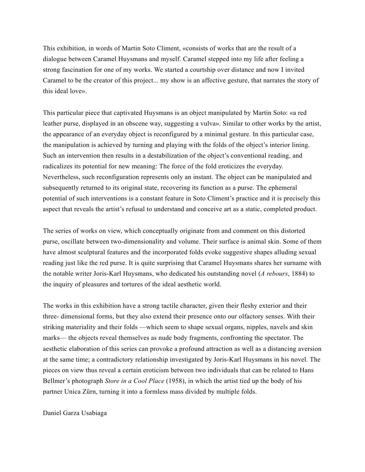This exhibition, in words of Martin Soto Climent, «consists of works that are the result of a dialogue between Caramel Huysmans and myself. Caramel stepped into my life after feeling a strong fascination for one of my works. We started a courtship over distance and now I invited Caramel to be the creator of this project... my show is an affective gesture, that narrates the story of this ideal love».

This particular piece that captivated Huysmans is an object manipulated by Martin Soto: «a red leather purse, displayed in an obscene way, suggesting a vulva». Similar to other works by the artist, the appearance of an everyday object is reconfigured by a minimal gesture. In this particular case, the manipulation is achieved by turning and playing with the folds of the object's interior lining. Such an intervention then results in a destabilization of the object's conventional reading, and radicalizes its potential for new meaning: The force of the fold eroticizes the everyday. Nevertheless, such reconfiguration represents only an instant. The object can be manipulated and subsequently returned to its original state, recovering its function as a purse. The ephemeral potential of such interventions is a constant feature in Soto Climent's practice and it is precisely this aspect that reveals the artist's refusal to understand and conceive art as a static, completed product.

The series of works on view, which conceptually originate from and comment on this distorted purse, oscillate between two-dimensionality and volume. Their surface is animal skin. Some of them have almost sculptural features and the incorporated folds evoke suggestive shapes alluding sexual reading just like the red purse. It is quite surprising that Caramel Huysmans shares her surname with the notable writer Joris-Karl Huysmans, who dedicated his outstanding novel (*A rebours*, 1884) to the inquiry of pleasures and tortures of the ideal aesthetic world.

The works in this exhibition have a strong tactile character, given their fleshy exterior and their three- dimensional forms, but they also extend their presence onto our olfactory senses. With their striking materiality and their folds —which seem to shape sexual organs, nipples, navels and skin marks— the objects reveal themselves as nude body fragments, confronting the spectator. The aesthetic elaboration of this series can provoke a profound attraction as well as a distancing aversion at the same time; a contradictory relationship investigated by Joris-Karl Huysmans in his novel. The pieces on view thus reveal a certain eroticism between two individuals that can be related to Hans Bellmer's photograph *Store in a Cool Place* (1958), in which the artist tied up the body of his partner Unica Zürn, turning it into a formless mass divided by multiple folds.

Daniel Garza Usabiaga